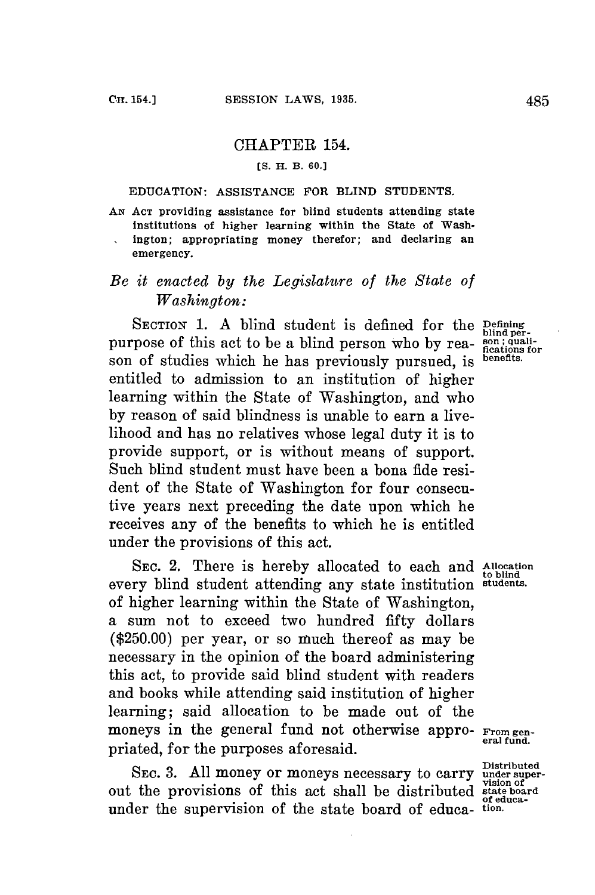## CHAPTER 154.

## **[S. H. B. 60.]**

## EDUCATION: **ASSISTANCE** FOR **BLIND STUDENTS.**

**AN ACT** providing assistance for blind students attending state institutions of higher learning within the State of Washington; appropriating money therefor; and declaring an emergency.

## *Be it enacted by the Legislature of the State of Washington:*

SECTION 1. A blind student is defined for the **Defining** perpurpose of this act to be a blind person who by rea- son; qualison of studies which he has previously pursued, is entitled to admission to an institution of higher learning within the State of Washington, and who **by** reason of said blindness is unable to earn a livelihood and has no relatives whose legal duty it is to provide support, or is without means of support. Such blind student must have been a bona fide resident of the State of Washington for four consecutive years next preceding the date upon which he receives any of the benefits to which he is entitled under the provisions of this act.

SEC. 2. There is hereby allocated to each and Allocation every blind student attending any state institution **students.** of higher learning within the State of Washington, a sum not to exceed two hundred fifty dollars **(\$250.00)** per year, or so much thereof as may be necessary in the opinion of the board administering this act, to provide said blind student with readers and books while attending said institution of higher learning; said allocation to be made out of the moneys in the general fund not otherwise appro- **From gen-** priated, for the purposes aforesaid.

SEC. 3. All money or moneys necessary to carry under superout the provisions of this act shall be distributed state board of educa-<br>under the supervision of the state board of educa- tion.

**benefits.** 

**Distributed**